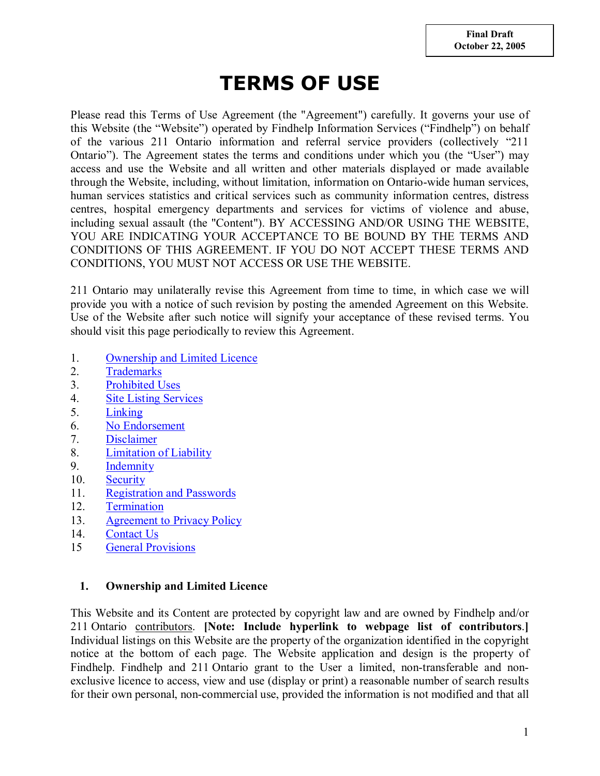# **TERMS OF USE**

Please read this Terms of Use Agreement (the "Agreement") carefully. It governs your use of this Website (the "Website") operated by Findhelp Information Services ("Findhelp") on behalf of the various 211 Ontario information and referral service providers (collectively "211 Ontario"). The Agreement states the terms and conditions under which you (the "User") may access and use the Website and all written and other materials displayed or made available through the Website, including, without limitation, information on Ontario-wide human services, human services statistics and critical services such as community information centres, distress centres, hospital emergency departments and services for victims of violence and abuse, including sexual assault (the "Content"). BY ACCESSING AND/OR USING THE WEBSITE, YOU ARE INDICATING YOUR ACCEPTANCE TO BE BOUND BY THE TERMS AND CONDITIONS OF THIS AGREEMENT. IF YOU DO NOT ACCEPT THESE TERMS AND CONDITIONS, YOU MUST NOT ACCESS OR USE THE WEBSITE.

211 Ontario may unilaterally revise this Agreement from time to time, in which case we will provide you with a notice of such revision by posting the amended Agreement on this Website. Use of the Website after such notice will signify your acceptance of these revised terms. You should visit this page periodically to review this Agreement.

- 1. Ownership and Limited Licence
- 2. Trademarks
- 3. Prohibited Uses
- 4. Site Listing Services
- 5. Linking
- 6. No Endorsement
- 7. Disclaimer
- 8. Limitation of Liability
- 9. Indemnity
- 10. Security
- 11. Registration and Passwords
- 12. Termination
- 13. Agreement to Privacy Policy
- 14. Contact Us
- 15 General Provisions

## **1. Ownership and Limited Licence**

This Website and its Content are protected by copyright law and are owned by Findhelp and/or 211 Ontario contributors. **[Note: Include hyperlink to webpage list of contributors**.**]** Individual listings on this Website are the property of the organization identified in the copyright notice at the bottom of each page. The Website application and design is the property of Findhelp. Findhelp and 211 Ontario grant to the User a limited, non-transferable and nonexclusive licence to access, view and use (display or print) a reasonable number of search results for their own personal, non-commercial use, provided the information is not modified and that all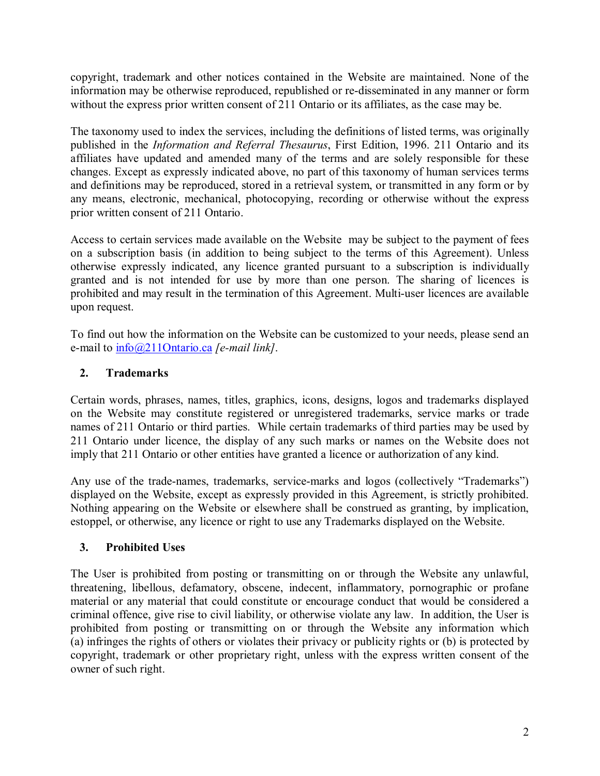copyright, trademark and other notices contained in the Website are maintained. None of the information may be otherwise reproduced, republished or re-disseminated in any manner or form without the express prior written consent of 211 Ontario or its affiliates, as the case may be.

The taxonomy used to index the services, including the definitions of listed terms, was originally published in the *Information and Referral Thesaurus*, First Edition, 1996. 211 Ontario and its affiliates have updated and amended many of the terms and are solely responsible for these changes. Except as expressly indicated above, no part of this taxonomy of human services terms and definitions may be reproduced, stored in a retrieval system, or transmitted in any form or by any means, electronic, mechanical, photocopying, recording or otherwise without the express prior written consent of 211 Ontario.

Access to certain services made available on the Website may be subject to the payment of fees on a subscription basis (in addition to being subject to the terms of this Agreement). Unless otherwise expressly indicated, any licence granted pursuant to a subscription is individually granted and is not intended for use by more than one person. The sharing of licences is prohibited and may result in the termination of this Agreement. Multi-user licences are available upon request.

To find out how the information on the Website can be customized to your needs, please send an e-mail to info@211Ontario.ca *[e-mail link]*.

# **2. Trademarks**

Certain words, phrases, names, titles, graphics, icons, designs, logos and trademarks displayed on the Website may constitute registered or unregistered trademarks, service marks or trade names of 211 Ontario or third parties. While certain trademarks of third parties may be used by 211 Ontario under licence, the display of any such marks or names on the Website does not imply that 211 Ontario or other entities have granted a licence or authorization of any kind.

Any use of the trade-names, trademarks, service-marks and logos (collectively "Trademarks") displayed on the Website, except as expressly provided in this Agreement, is strictly prohibited. Nothing appearing on the Website or elsewhere shall be construed as granting, by implication, estoppel, or otherwise, any licence or right to use any Trademarks displayed on the Website.

# **3. Prohibited Uses**

The User is prohibited from posting or transmitting on or through the Website any unlawful, threatening, libellous, defamatory, obscene, indecent, inflammatory, pornographic or profane material or any material that could constitute or encourage conduct that would be considered a criminal offence, give rise to civil liability, or otherwise violate any law. In addition, the User is prohibited from posting or transmitting on or through the Website any information which (a) infringes the rights of others or violates their privacy or publicity rights or (b) is protected by copyright, trademark or other proprietary right, unless with the express written consent of the owner of such right.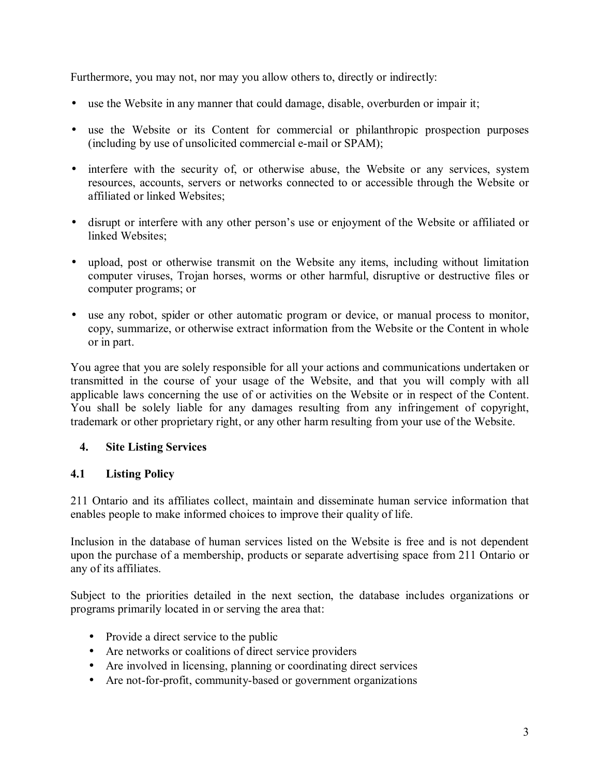Furthermore, you may not, nor may you allow others to, directly or indirectly:

- use the Website in any manner that could damage, disable, overburden or impair it;
- use the Website or its Content for commercial or philanthropic prospection purposes (including by use of unsolicited commercial e-mail or SPAM);
- interfere with the security of, or otherwise abuse, the Website or any services, system resources, accounts, servers or networks connected to or accessible through the Website or affiliated or linked Websites;
- disrupt or interfere with any other person's use or enjoyment of the Website or affiliated or linked Websites;
- upload, post or otherwise transmit on the Website any items, including without limitation computer viruses, Trojan horses, worms or other harmful, disruptive or destructive files or computer programs; or
- use any robot, spider or other automatic program or device, or manual process to monitor, copy, summarize, or otherwise extract information from the Website or the Content in whole or in part.

You agree that you are solely responsible for all your actions and communications undertaken or transmitted in the course of your usage of the Website, and that you will comply with all applicable laws concerning the use of or activities on the Website or in respect of the Content. You shall be solely liable for any damages resulting from any infringement of copyright, trademark or other proprietary right, or any other harm resulting from your use of the Website.

## **4. Site Listing Services**

## **4.1 Listing Policy**

211 Ontario and its affiliates collect, maintain and disseminate human service information that enables people to make informed choices to improve their quality of life.

Inclusion in the database of human services listed on the Website is free and is not dependent upon the purchase of a membership, products or separate advertising space from 211 Ontario or any of its affiliates.

Subject to the priorities detailed in the next section, the database includes organizations or programs primarily located in or serving the area that:

- Provide a direct service to the public
- Are networks or coalitions of direct service providers
- Are involved in licensing, planning or coordinating direct services
- Are not-for-profit, community-based or government organizations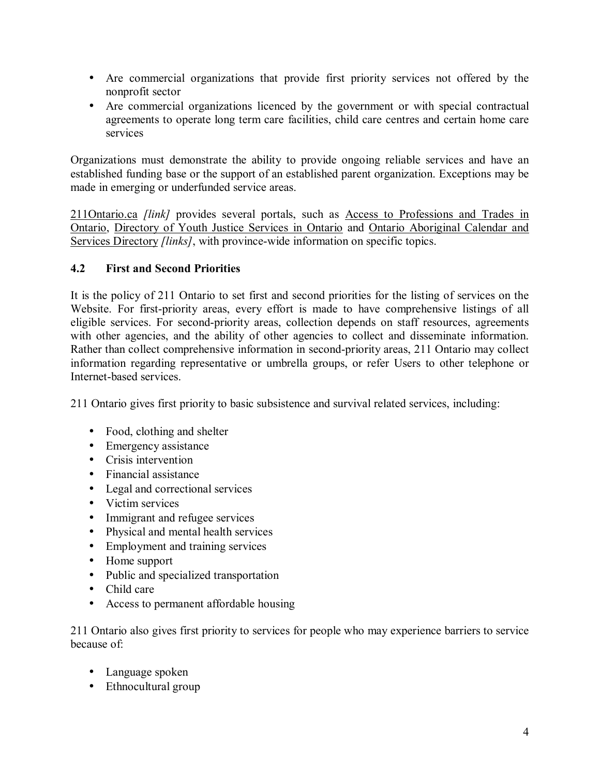- Are commercial organizations that provide first priority services not offered by the nonprofit sector
- Are commercial organizations licenced by the government or with special contractual agreements to operate long term care facilities, child care centres and certain home care services

Organizations must demonstrate the ability to provide ongoing reliable services and have an established funding base or the support of an established parent organization. Exceptions may be made in emerging or underfunded service areas.

211Ontario.ca *[link]* provides several portals, such as <u>Access to Professions and Trades in</u> Ontario, Directory of Youth Justice Services in Ontario and Ontario Aboriginal Calendar and Services Directory *[links]*, with province-wide information on specific topics.

# **4.2 First and Second Priorities**

It is the policy of 211 Ontario to set first and second priorities for the listing of services on the Website. For first-priority areas, every effort is made to have comprehensive listings of all eligible services. For second-priority areas, collection depends on staff resources, agreements with other agencies, and the ability of other agencies to collect and disseminate information. Rather than collect comprehensive information in second-priority areas, 211 Ontario may collect information regarding representative or umbrella groups, or refer Users to other telephone or Internet-based services.

211 Ontario gives first priority to basic subsistence and survival related services, including:

- Food, clothing and shelter
- Emergency assistance
- Crisis intervention
- Financial assistance
- Legal and correctional services
- Victim services
- Immigrant and refugee services
- Physical and mental health services
- Employment and training services
- Home support
- Public and specialized transportation
- Child care
- Access to permanent affordable housing

211 Ontario also gives first priority to services for people who may experience barriers to service because of:

- Language spoken
- Ethnocultural group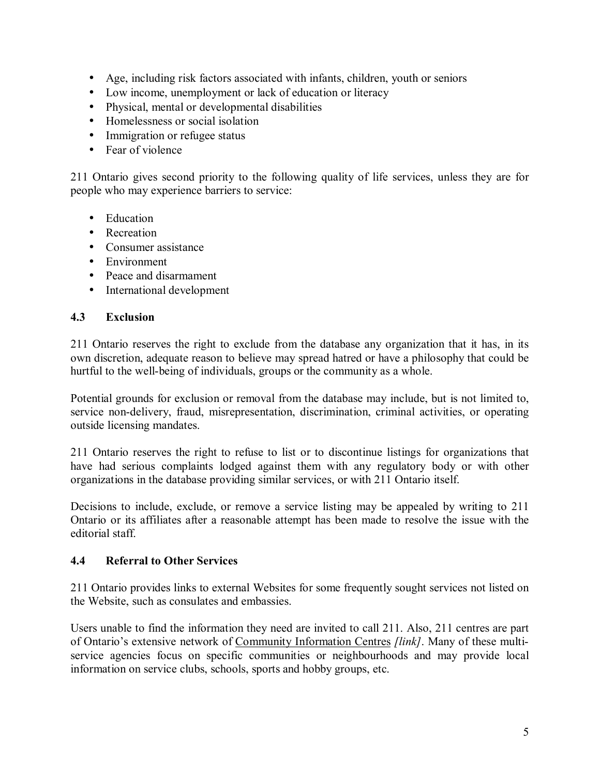- Age, including risk factors associated with infants, children, youth or seniors
- Low income, unemployment or lack of education or literacy
- Physical, mental or developmental disabilities
- Homelessness or social isolation
- Immigration or refugee status
- Fear of violence

211 Ontario gives second priority to the following quality of life services, unless they are for people who may experience barriers to service:

- Education
- Recreation
- Consumer assistance
- Environment
- Peace and disarmament
- International development

# **4.3 Exclusion**

211 Ontario reserves the right to exclude from the database any organization that it has, in its own discretion, adequate reason to believe may spread hatred or have a philosophy that could be hurtful to the well-being of individuals, groups or the community as a whole.

Potential grounds for exclusion or removal from the database may include, but is not limited to, service non-delivery, fraud, misrepresentation, discrimination, criminal activities, or operating outside licensing mandates.

211 Ontario reserves the right to refuse to list or to discontinue listings for organizations that have had serious complaints lodged against them with any regulatory body or with other organizations in the database providing similar services, or with 211 Ontario itself.

Decisions to include, exclude, or remove a service listing may be appealed by writing to 211 Ontario or its affiliates after a reasonable attempt has been made to resolve the issue with the editorial staff.

## **4.4 Referral to Other Services**

211 Ontario provides links to external Websites for some frequently sought services not listed on the Website, such as consulates and embassies.

Users unable to find the information they need are invited to call 211. Also, 211 centres are part of Ontario's extensive network of Community Information Centres *[link]*. Many of these multiservice agencies focus on specific communities or neighbourhoods and may provide local information on service clubs, schools, sports and hobby groups, etc.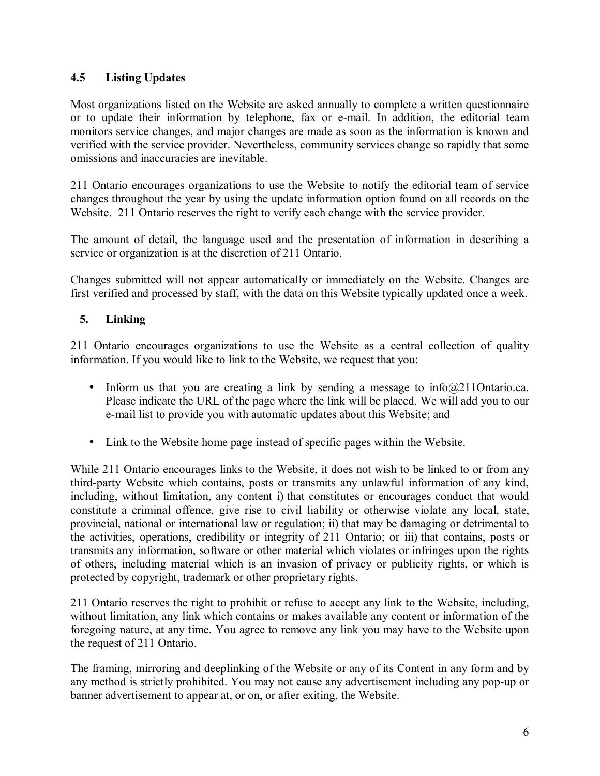# **4.5 Listing Updates**

Most organizations listed on the Website are asked annually to complete a written questionnaire or to update their information by telephone, fax or e-mail. In addition, the editorial team monitors service changes, and major changes are made as soon as the information is known and verified with the service provider. Nevertheless, community services change so rapidly that some omissions and inaccuracies are inevitable.

211 Ontario encourages organizations to use the Website to notify the editorial team of service changes throughout the year by using the update information option found on all records on the Website. 211 Ontario reserves the right to verify each change with the service provider.

The amount of detail, the language used and the presentation of information in describing a service or organization is at the discretion of 211 Ontario.

Changes submitted will not appear automatically or immediately on the Website. Changes are first verified and processed by staff, with the data on this Website typically updated once a week.

## **5. Linking**

211 Ontario encourages organizations to use the Website as a central collection of quality information. If you would like to link to the Website, we request that you:

- Inform us that you are creating a link by sending a message to  $info@211Ontario.ca.$ Please indicate the URL of the page where the link will be placed. We will add you to our e-mail list to provide you with automatic updates about this Website; and
- Link to the Website home page instead of specific pages within the Website.

While 211 Ontario encourages links to the Website, it does not wish to be linked to or from any third-party Website which contains, posts or transmits any unlawful information of any kind, including, without limitation, any content i) that constitutes or encourages conduct that would constitute a criminal offence, give rise to civil liability or otherwise violate any local, state, provincial, national or international law or regulation; ii) that may be damaging or detrimental to the activities, operations, credibility or integrity of 211 Ontario; or iii) that contains, posts or transmits any information, software or other material which violates or infringes upon the rights of others, including material which is an invasion of privacy or publicity rights, or which is protected by copyright, trademark or other proprietary rights.

211 Ontario reserves the right to prohibit or refuse to accept any link to the Website, including, without limitation, any link which contains or makes available any content or information of the foregoing nature, at any time. You agree to remove any link you may have to the Website upon the request of 211 Ontario.

The framing, mirroring and deeplinking of the Website or any of its Content in any form and by any method is strictly prohibited. You may not cause any advertisement including any pop-up or banner advertisement to appear at, or on, or after exiting, the Website.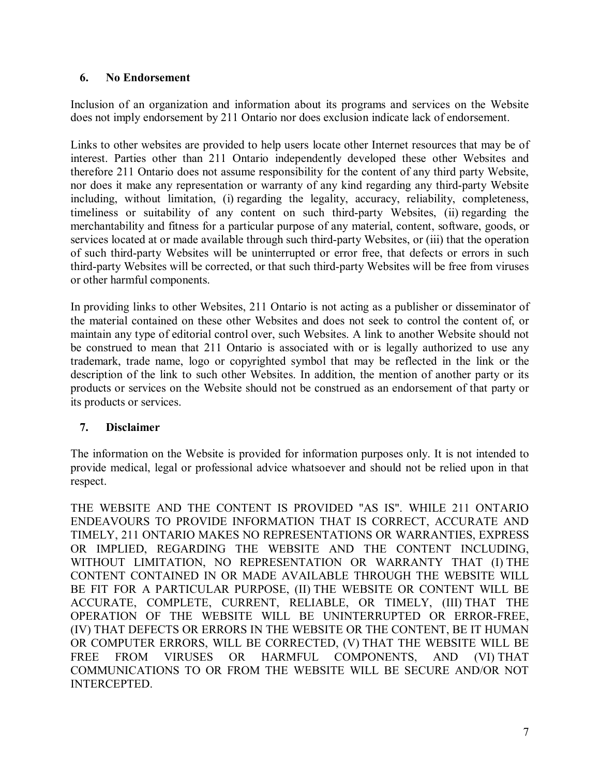### **6. No Endorsement**

Inclusion of an organization and information about its programs and services on the Website does not imply endorsement by 211 Ontario nor does exclusion indicate lack of endorsement.

Links to other websites are provided to help users locate other Internet resources that may be of interest. Parties other than 211 Ontario independently developed these other Websites and therefore 211 Ontario does not assume responsibility for the content of any third party Website, nor does it make any representation or warranty of any kind regarding any third-party Website including, without limitation, (i) regarding the legality, accuracy, reliability, completeness, timeliness or suitability of any content on such third-party Websites, (ii) regarding the merchantability and fitness for a particular purpose of any material, content, software, goods, or services located at or made available through such third-party Websites, or (iii) that the operation of such third-party Websites will be uninterrupted or error free, that defects or errors in such third-party Websites will be corrected, or that such third-party Websites will be free from viruses or other harmful components.

In providing links to other Websites, 211 Ontario is not acting as a publisher or disseminator of the material contained on these other Websites and does not seek to control the content of, or maintain any type of editorial control over, such Websites. A link to another Website should not be construed to mean that 211 Ontario is associated with or is legally authorized to use any trademark, trade name, logo or copyrighted symbol that may be reflected in the link or the description of the link to such other Websites. In addition, the mention of another party or its products or services on the Website should not be construed as an endorsement of that party or its products or services.

## **7. Disclaimer**

The information on the Website is provided for information purposes only. It is not intended to provide medical, legal or professional advice whatsoever and should not be relied upon in that respect.

THE WEBSITE AND THE CONTENT IS PROVIDED "AS IS". WHILE 211 ONTARIO ENDEAVOURS TO PROVIDE INFORMATION THAT IS CORRECT, ACCURATE AND TIMELY, 211 ONTARIO MAKES NO REPRESENTATIONS OR WARRANTIES, EXPRESS OR IMPLIED, REGARDING THE WEBSITE AND THE CONTENT INCLUDING, WITHOUT LIMITATION, NO REPRESENTATION OR WARRANTY THAT (I) THE CONTENT CONTAINED IN OR MADE AVAILABLE THROUGH THE WEBSITE WILL BE FIT FOR A PARTICULAR PURPOSE, (II) THE WEBSITE OR CONTENT WILL BE ACCURATE, COMPLETE, CURRENT, RELIABLE, OR TIMELY, (III) THAT THE OPERATION OF THE WEBSITE WILL BE UNINTERRUPTED OR ERROR-FREE, (IV) THAT DEFECTS OR ERRORS IN THE WEBSITE OR THE CONTENT, BE IT HUMAN OR COMPUTER ERRORS, WILL BE CORRECTED, (V) THAT THE WEBSITE WILL BE FREE FROM VIRUSES OR HARMFUL COMPONENTS, AND (VI) THAT COMMUNICATIONS TO OR FROM THE WEBSITE WILL BE SECURE AND/OR NOT INTERCEPTED.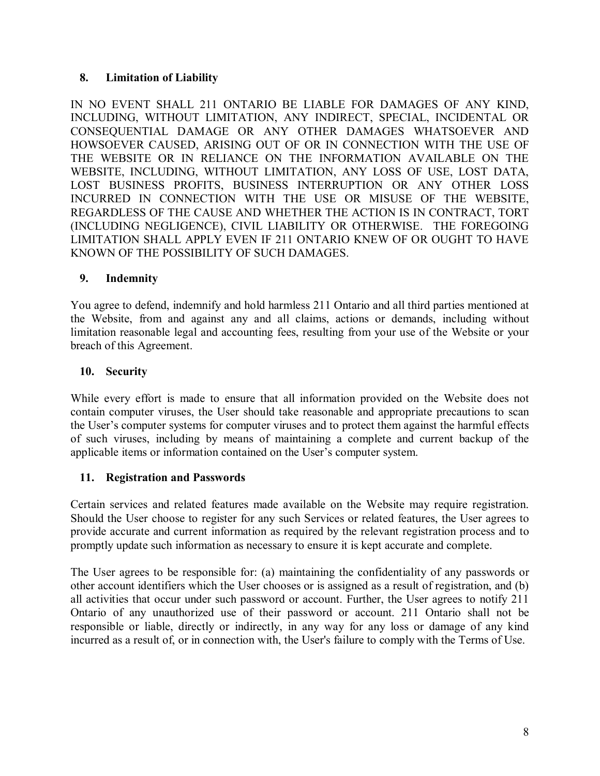## **8. Limitation of Liability**

IN NO EVENT SHALL 211 ONTARIO BE LIABLE FOR DAMAGES OF ANY KIND, INCLUDING, WITHOUT LIMITATION, ANY INDIRECT, SPECIAL, INCIDENTAL OR CONSEQUENTIAL DAMAGE OR ANY OTHER DAMAGES WHATSOEVER AND HOWSOEVER CAUSED, ARISING OUT OF OR IN CONNECTION WITH THE USE OF THE WEBSITE OR IN RELIANCE ON THE INFORMATION AVAILABLE ON THE WEBSITE, INCLUDING, WITHOUT LIMITATION, ANY LOSS OF USE, LOST DATA, LOST BUSINESS PROFITS, BUSINESS INTERRUPTION OR ANY OTHER LOSS INCURRED IN CONNECTION WITH THE USE OR MISUSE OF THE WEBSITE, REGARDLESS OF THE CAUSE AND WHETHER THE ACTION IS IN CONTRACT, TORT (INCLUDING NEGLIGENCE), CIVIL LIABILITY OR OTHERWISE. THE FOREGOING LIMITATION SHALL APPLY EVEN IF 211 ONTARIO KNEW OF OR OUGHT TO HAVE KNOWN OF THE POSSIBILITY OF SUCH DAMAGES.

#### **9. Indemnity**

You agree to defend, indemnify and hold harmless 211 Ontario and all third parties mentioned at the Website, from and against any and all claims, actions or demands, including without limitation reasonable legal and accounting fees, resulting from your use of the Website or your breach of this Agreement.

# **10. Security**

While every effort is made to ensure that all information provided on the Website does not contain computer viruses, the User should take reasonable and appropriate precautions to scan the User's computer systems for computer viruses and to protect them against the harmful effects of such viruses, including by means of maintaining a complete and current backup of the applicable items or information contained on the User's computer system.

## **11. Registration and Passwords**

Certain services and related features made available on the Website may require registration. Should the User choose to register for any such Services or related features, the User agrees to provide accurate and current information as required by the relevant registration process and to promptly update such information as necessary to ensure it is kept accurate and complete.

The User agrees to be responsible for: (a) maintaining the confidentiality of any passwords or other account identifiers which the User chooses or is assigned as a result of registration, and (b) all activities that occur under such password or account. Further, the User agrees to notify 211 Ontario of any unauthorized use of their password or account. 211 Ontario shall not be responsible or liable, directly or indirectly, in any way for any loss or damage of any kind incurred as a result of, or in connection with, the User's failure to comply with the Terms of Use.